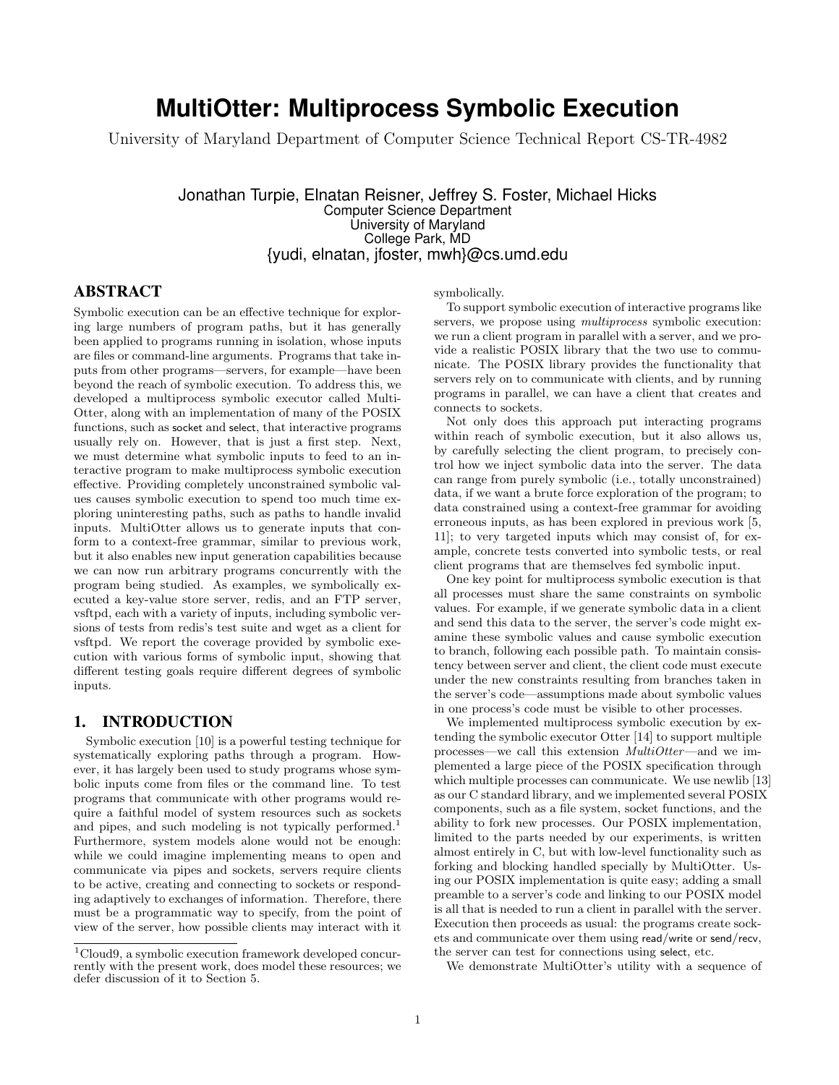# **MultiOtter: Multiprocess Symbolic Execution**

University of Maryland Department of Computer Science Technical Report CS-TR-4982

Jonathan Turpie, Elnatan Reisner, Jeffrey S. Foster, Michael Hicks Computer Science Department University of Maryland College Park, MD {yudi, elnatan, jfoster, mwh}@cs.umd.edu

# ABSTRACT

Symbolic execution can be an effective technique for exploring large numbers of program paths, but it has generally been applied to programs running in isolation, whose inputs are files or command-line arguments. Programs that take inputs from other programs—servers, for example—have been beyond the reach of symbolic execution. To address this, we developed a multiprocess symbolic executor called Multi-Otter, along with an implementation of many of the POSIX functions, such as socket and select, that interactive programs usually rely on. However, that is just a first step. Next, we must determine what symbolic inputs to feed to an interactive program to make multiprocess symbolic execution effective. Providing completely unconstrained symbolic values causes symbolic execution to spend too much time exploring uninteresting paths, such as paths to handle invalid inputs. MultiOtter allows us to generate inputs that conform to a context-free grammar, similar to previous work, but it also enables new input generation capabilities because we can now run arbitrary programs concurrently with the program being studied. As examples, we symbolically executed a key-value store server, redis, and an FTP server, vsftpd, each with a variety of inputs, including symbolic versions of tests from redis's test suite and wget as a client for vsftpd. We report the coverage provided by symbolic execution with various forms of symbolic input, showing that different testing goals require different degrees of symbolic inputs.

# 1. INTRODUCTION

Symbolic execution [10] is a powerful testing technique for systematically exploring paths through a program. However, it has largely been used to study programs whose symbolic inputs come from files or the command line. To test programs that communicate with other programs would require a faithful model of system resources such as sockets and pipes, and such modeling is not typically performed.<sup>1</sup> Furthermore, system models alone would not be enough: while we could imagine implementing means to open and communicate via pipes and sockets, servers require clients to be active, creating and connecting to sockets or responding adaptively to exchanges of information. Therefore, there must be a programmatic way to specify, from the point of view of the server, how possible clients may interact with it

symbolically.

To support symbolic execution of interactive programs like servers, we propose using *multiprocess* symbolic execution: we run a client program in parallel with a server, and we provide a realistic POSIX library that the two use to communicate. The POSIX library provides the functionality that servers rely on to communicate with clients, and by running programs in parallel, we can have a client that creates and connects to sockets.

Not only does this approach put interacting programs within reach of symbolic execution, but it also allows us, by carefully selecting the client program, to precisely control how we inject symbolic data into the server. The data can range from purely symbolic (i.e., totally unconstrained) data, if we want a brute force exploration of the program; to data constrained using a context-free grammar for avoiding erroneous inputs, as has been explored in previous work [5, 11]; to very targeted inputs which may consist of, for example, concrete tests converted into symbolic tests, or real client programs that are themselves fed symbolic input.

One key point for multiprocess symbolic execution is that all processes must share the same constraints on symbolic values. For example, if we generate symbolic data in a client and send this data to the server, the server's code might examine these symbolic values and cause symbolic execution to branch, following each possible path. To maintain consistency between server and client, the client code must execute under the new constraints resulting from branches taken in the server's code—assumptions made about symbolic values in one process's code must be visible to other processes.

We implemented multiprocess symbolic execution by extending the symbolic executor Otter [14] to support multiple processes—we call this extension MultiOtter—and we implemented a large piece of the POSIX specification through which multiple processes can communicate. We use newlib [13] as our C standard library, and we implemented several POSIX components, such as a file system, socket functions, and the ability to fork new processes. Our POSIX implementation, limited to the parts needed by our experiments, is written almost entirely in C, but with low-level functionality such as forking and blocking handled specially by MultiOtter. Using our POSIX implementation is quite easy; adding a small preamble to a server's code and linking to our POSIX model is all that is needed to run a client in parallel with the server. Execution then proceeds as usual: the programs create sockets and communicate over them using read/write or send/recv, the server can test for connections using select, etc.

We demonstrate MultiOtter's utility with a sequence of

<sup>1</sup>Cloud9, a symbolic execution framework developed concurrently with the present work, does model these resources; we defer discussion of it to Section 5.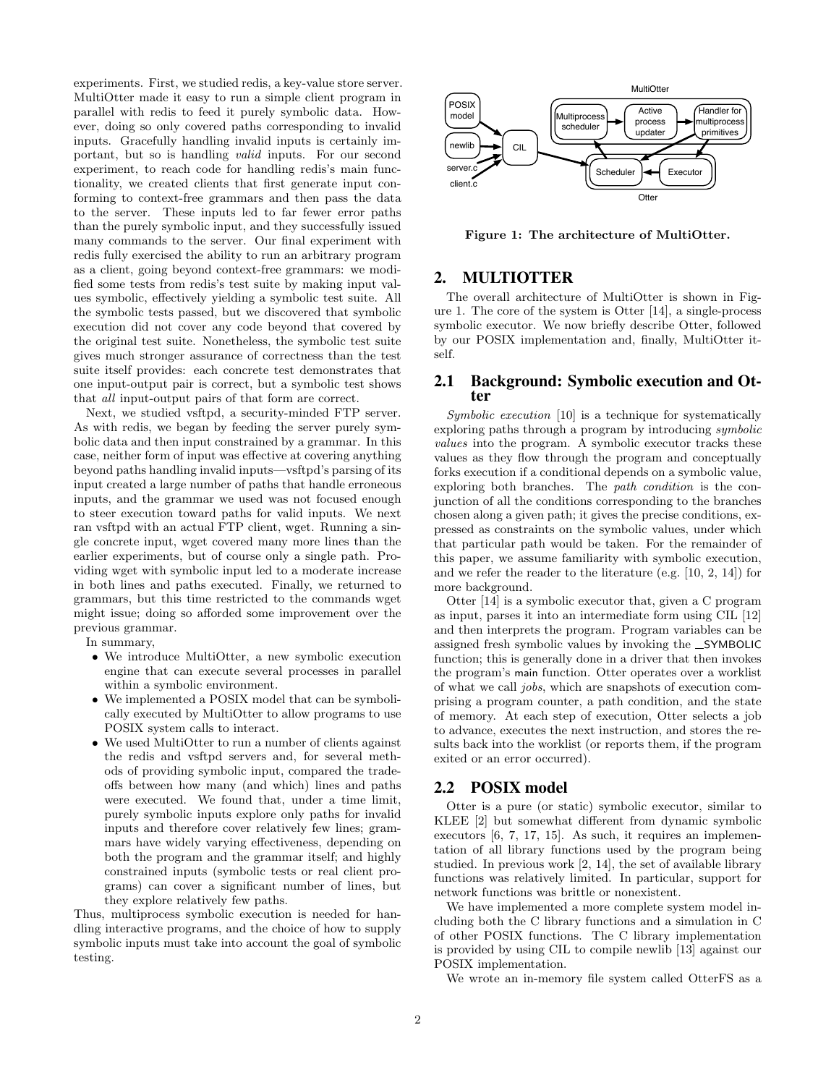experiments. First, we studied redis, a key-value store server. MultiOtter made it easy to run a simple client program in parallel with redis to feed it purely symbolic data. However, doing so only covered paths corresponding to invalid inputs. Gracefully handling invalid inputs is certainly important, but so is handling valid inputs. For our second experiment, to reach code for handling redis's main functionality, we created clients that first generate input conforming to context-free grammars and then pass the data to the server. These inputs led to far fewer error paths than the purely symbolic input, and they successfully issued many commands to the server. Our final experiment with redis fully exercised the ability to run an arbitrary program as a client, going beyond context-free grammars: we modified some tests from redis's test suite by making input values symbolic, effectively yielding a symbolic test suite. All the symbolic tests passed, but we discovered that symbolic execution did not cover any code beyond that covered by the original test suite. Nonetheless, the symbolic test suite gives much stronger assurance of correctness than the test suite itself provides: each concrete test demonstrates that one input-output pair is correct, but a symbolic test shows that all input-output pairs of that form are correct.

Next, we studied vsftpd, a security-minded FTP server. As with redis, we began by feeding the server purely symbolic data and then input constrained by a grammar. In this case, neither form of input was effective at covering anything beyond paths handling invalid inputs—vsftpd's parsing of its input created a large number of paths that handle erroneous inputs, and the grammar we used was not focused enough to steer execution toward paths for valid inputs. We next ran vsftpd with an actual FTP client, wget. Running a single concrete input, wget covered many more lines than the earlier experiments, but of course only a single path. Providing wget with symbolic input led to a moderate increase in both lines and paths executed. Finally, we returned to grammars, but this time restricted to the commands wget might issue; doing so afforded some improvement over the previous grammar.

In summary,

- We introduce MultiOtter, a new symbolic execution engine that can execute several processes in parallel within a symbolic environment.
- We implemented a POSIX model that can be symbolically executed by MultiOtter to allow programs to use POSIX system calls to interact.
- We used MultiOtter to run a number of clients against the redis and vsftpd servers and, for several methods of providing symbolic input, compared the tradeoffs between how many (and which) lines and paths were executed. We found that, under a time limit, purely symbolic inputs explore only paths for invalid inputs and therefore cover relatively few lines; grammars have widely varying effectiveness, depending on both the program and the grammar itself; and highly constrained inputs (symbolic tests or real client programs) can cover a significant number of lines, but they explore relatively few paths.

Thus, multiprocess symbolic execution is needed for handling interactive programs, and the choice of how to supply symbolic inputs must take into account the goal of symbolic testing.



Figure 1: The architecture of MultiOtter.

# 2. MULTIOTTER

The overall architecture of MultiOtter is shown in Figure 1. The core of the system is Otter [14], a single-process symbolic executor. We now briefly describe Otter, followed by our POSIX implementation and, finally, MultiOtter itself.

#### 2.1 Background: Symbolic execution and Otter

Symbolic execution [10] is a technique for systematically exploring paths through a program by introducing symbolic values into the program. A symbolic executor tracks these values as they flow through the program and conceptually forks execution if a conditional depends on a symbolic value, exploring both branches. The path condition is the conjunction of all the conditions corresponding to the branches chosen along a given path; it gives the precise conditions, expressed as constraints on the symbolic values, under which that particular path would be taken. For the remainder of this paper, we assume familiarity with symbolic execution, and we refer the reader to the literature (e.g. [10, 2, 14]) for more background.

Otter [14] is a symbolic executor that, given a C program as input, parses it into an intermediate form using CIL [12] and then interprets the program. Program variables can be assigned fresh symbolic values by invoking the SYMBOLIC function; this is generally done in a driver that then invokes the program's main function. Otter operates over a worklist of what we call jobs, which are snapshots of execution comprising a program counter, a path condition, and the state of memory. At each step of execution, Otter selects a job to advance, executes the next instruction, and stores the results back into the worklist (or reports them, if the program exited or an error occurred).

### 2.2 POSIX model

Otter is a pure (or static) symbolic executor, similar to KLEE [2] but somewhat different from dynamic symbolic executors [6, 7, 17, 15]. As such, it requires an implementation of all library functions used by the program being studied. In previous work [2, 14], the set of available library functions was relatively limited. In particular, support for network functions was brittle or nonexistent.

We have implemented a more complete system model including both the C library functions and a simulation in C of other POSIX functions. The C library implementation is provided by using CIL to compile newlib [13] against our POSIX implementation.

We wrote an in-memory file system called OtterFS as a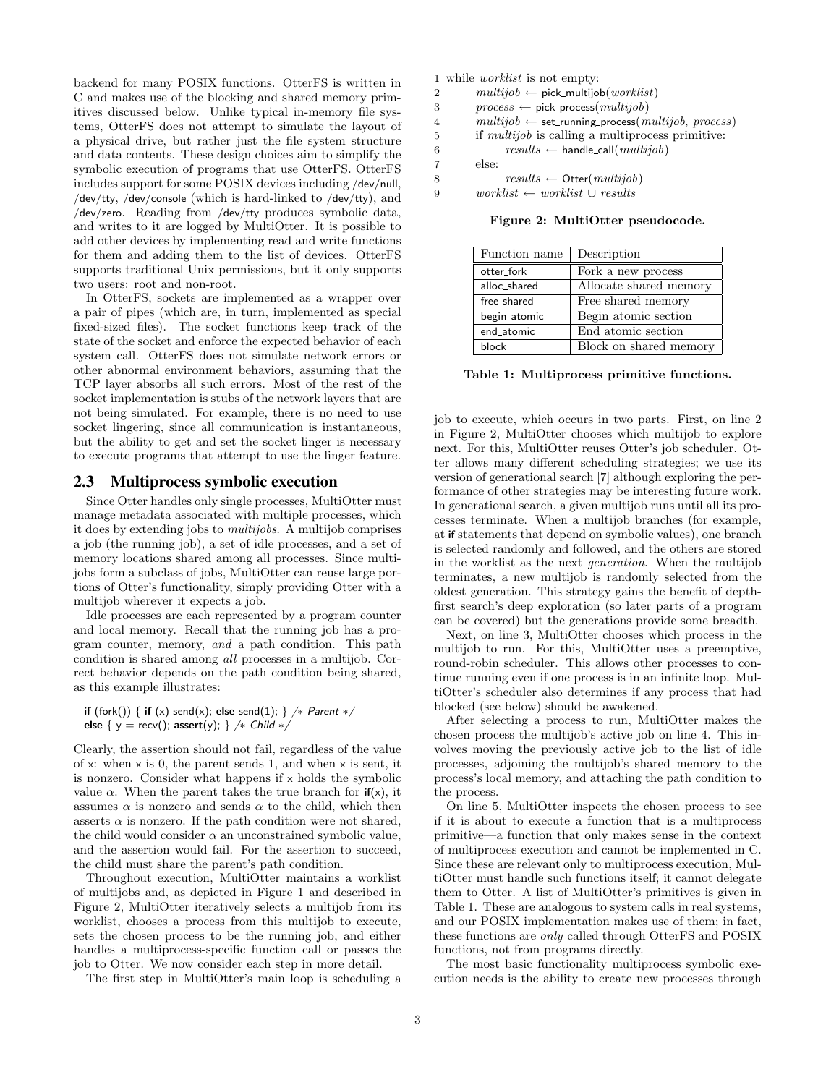backend for many POSIX functions. OtterFS is written in C and makes use of the blocking and shared memory primitives discussed below. Unlike typical in-memory file systems, OtterFS does not attempt to simulate the layout of a physical drive, but rather just the file system structure and data contents. These design choices aim to simplify the symbolic execution of programs that use OtterFS. OtterFS includes support for some POSIX devices including /dev/null, /dev/tty, /dev/console (which is hard-linked to /dev/tty), and /dev/zero. Reading from /dev/tty produces symbolic data, and writes to it are logged by MultiOtter. It is possible to add other devices by implementing read and write functions for them and adding them to the list of devices. OtterFS supports traditional Unix permissions, but it only supports two users: root and non-root.

In OtterFS, sockets are implemented as a wrapper over a pair of pipes (which are, in turn, implemented as special fixed-sized files). The socket functions keep track of the state of the socket and enforce the expected behavior of each system call. OtterFS does not simulate network errors or other abnormal environment behaviors, assuming that the TCP layer absorbs all such errors. Most of the rest of the socket implementation is stubs of the network layers that are not being simulated. For example, there is no need to use socket lingering, since all communication is instantaneous, but the ability to get and set the socket linger is necessary to execute programs that attempt to use the linger feature.

#### 2.3 Multiprocess symbolic execution

Since Otter handles only single processes, MultiOtter must manage metadata associated with multiple processes, which it does by extending jobs to multijobs. A multijob comprises a job (the running job), a set of idle processes, and a set of memory locations shared among all processes. Since multijobs form a subclass of jobs, MultiOtter can reuse large portions of Otter's functionality, simply providing Otter with a multijob wherever it expects a job.

Idle processes are each represented by a program counter and local memory. Recall that the running job has a program counter, memory, and a path condition. This path condition is shared among all processes in a multijob. Correct behavior depends on the path condition being shared, as this example illustrates:

if (fork()) { if (x) send(x); else send(1); } /\* Parent \*/ else {  $y = \text{recv}$ ); assert(y); } /\* Child \*/

Clearly, the assertion should not fail, regardless of the value of x: when  $x$  is 0, the parent sends 1, and when  $x$  is sent, it is nonzero. Consider what happens if x holds the symbolic value  $\alpha$ . When the parent takes the true branch for  $if(x)$ , it assumes  $\alpha$  is nonzero and sends  $\alpha$  to the child, which then asserts  $\alpha$  is nonzero. If the path condition were not shared, the child would consider  $\alpha$  an unconstrained symbolic value, and the assertion would fail. For the assertion to succeed, the child must share the parent's path condition.

Throughout execution, MultiOtter maintains a worklist of multijobs and, as depicted in Figure 1 and described in Figure 2, MultiOtter iteratively selects a multijob from its worklist, chooses a process from this multijob to execute, sets the chosen process to be the running job, and either handles a multiprocess-specific function call or passes the job to Otter. We now consider each step in more detail.

The first step in MultiOtter's main loop is scheduling a

1 while worklist is not empty:

2  $multipb \leftarrow pick\_multipb(worklist)$ 

3  $process \leftarrow pick\_process(multipob)$ 

 $4$  multijob ← set\_running\_process(multijob, process)

```
5 if multijob is calling a multiprocess primitive:
```

```
6 results \leftarrow \text{handle\_call}(multijob)
```

```
7 else:
```
8  $results \leftarrow$  Otter(*multijob*)

9 worklist ← worklist  $\cup$  results

Figure 2: MultiOtter pseudocode.

| Function name | Description            |
|---------------|------------------------|
| otter_fork    | Fork a new process     |
| alloc_shared  | Allocate shared memory |
| free_shared   | Free shared memory     |
| begin_atomic  | Begin atomic section   |
| end_atomic    | End atomic section     |
| block         | Block on shared memory |

Table 1: Multiprocess primitive functions.

job to execute, which occurs in two parts. First, on line 2 in Figure 2, MultiOtter chooses which multijob to explore next. For this, MultiOtter reuses Otter's job scheduler. Otter allows many different scheduling strategies; we use its version of generational search [7] although exploring the performance of other strategies may be interesting future work. In generational search, a given multijob runs until all its processes terminate. When a multijob branches (for example, at if statements that depend on symbolic values), one branch is selected randomly and followed, and the others are stored in the worklist as the next generation. When the multijob terminates, a new multijob is randomly selected from the oldest generation. This strategy gains the benefit of depthfirst search's deep exploration (so later parts of a program can be covered) but the generations provide some breadth.

Next, on line 3, MultiOtter chooses which process in the multijob to run. For this, MultiOtter uses a preemptive, round-robin scheduler. This allows other processes to continue running even if one process is in an infinite loop. MultiOtter's scheduler also determines if any process that had blocked (see below) should be awakened.

After selecting a process to run, MultiOtter makes the chosen process the multijob's active job on line 4. This involves moving the previously active job to the list of idle processes, adjoining the multijob's shared memory to the process's local memory, and attaching the path condition to the process.

On line 5, MultiOtter inspects the chosen process to see if it is about to execute a function that is a multiprocess primitive—a function that only makes sense in the context of multiprocess execution and cannot be implemented in C. Since these are relevant only to multiprocess execution, MultiOtter must handle such functions itself; it cannot delegate them to Otter. A list of MultiOtter's primitives is given in Table 1. These are analogous to system calls in real systems, and our POSIX implementation makes use of them; in fact, these functions are only called through OtterFS and POSIX functions, not from programs directly.

The most basic functionality multiprocess symbolic execution needs is the ability to create new processes through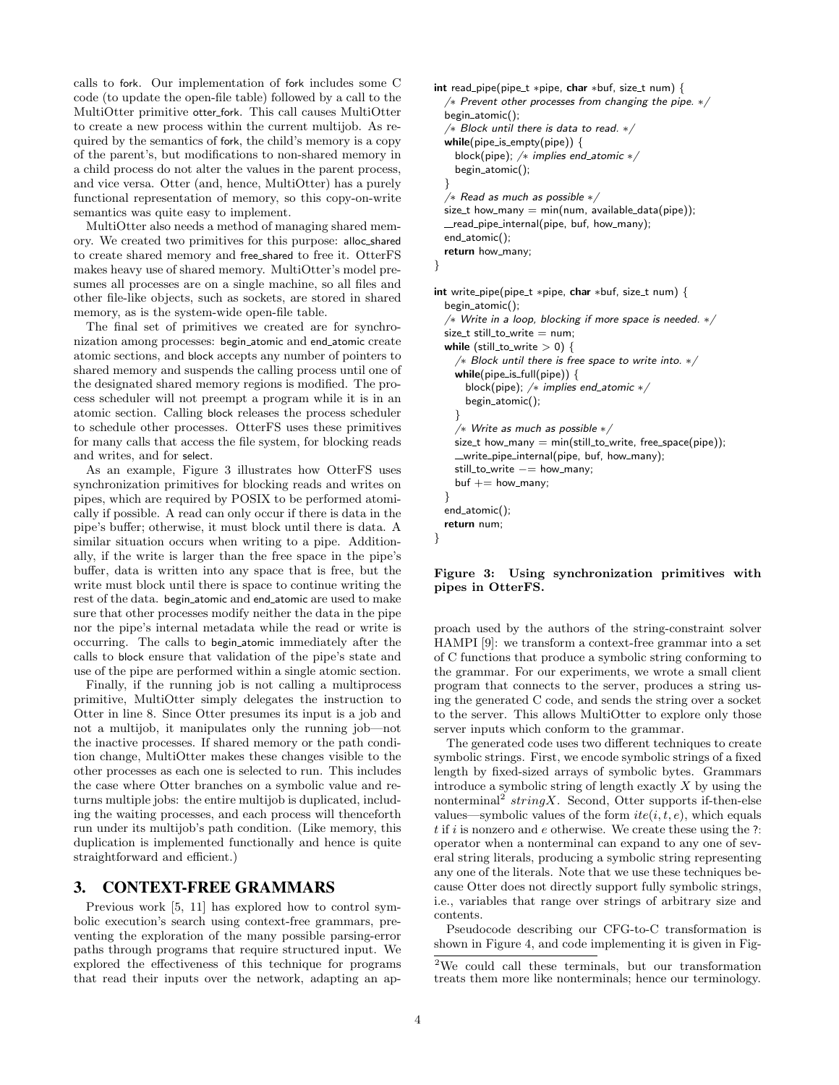calls to fork. Our implementation of fork includes some C code (to update the open-file table) followed by a call to the MultiOtter primitive otter fork. This call causes MultiOtter to create a new process within the current multijob. As required by the semantics of fork, the child's memory is a copy of the parent's, but modifications to non-shared memory in a child process do not alter the values in the parent process, and vice versa. Otter (and, hence, MultiOtter) has a purely functional representation of memory, so this copy-on-write semantics was quite easy to implement.

MultiOtter also needs a method of managing shared memory. We created two primitives for this purpose: alloc shared to create shared memory and free shared to free it. OtterFS makes heavy use of shared memory. MultiOtter's model presumes all processes are on a single machine, so all files and other file-like objects, such as sockets, are stored in shared memory, as is the system-wide open-file table.

The final set of primitives we created are for synchronization among processes: begin atomic and end atomic create atomic sections, and block accepts any number of pointers to shared memory and suspends the calling process until one of the designated shared memory regions is modified. The process scheduler will not preempt a program while it is in an atomic section. Calling block releases the process scheduler to schedule other processes. OtterFS uses these primitives for many calls that access the file system, for blocking reads and writes, and for select.

As an example, Figure 3 illustrates how OtterFS uses synchronization primitives for blocking reads and writes on pipes, which are required by POSIX to be performed atomically if possible. A read can only occur if there is data in the pipe's buffer; otherwise, it must block until there is data. A similar situation occurs when writing to a pipe. Additionally, if the write is larger than the free space in the pipe's buffer, data is written into any space that is free, but the write must block until there is space to continue writing the rest of the data. begin\_atomic and end\_atomic are used to make sure that other processes modify neither the data in the pipe nor the pipe's internal metadata while the read or write is occurring. The calls to begin atomic immediately after the calls to block ensure that validation of the pipe's state and use of the pipe are performed within a single atomic section.

Finally, if the running job is not calling a multiprocess primitive, MultiOtter simply delegates the instruction to Otter in line 8. Since Otter presumes its input is a job and not a multijob, it manipulates only the running job—not the inactive processes. If shared memory or the path condition change, MultiOtter makes these changes visible to the other processes as each one is selected to run. This includes the case where Otter branches on a symbolic value and returns multiple jobs: the entire multijob is duplicated, including the waiting processes, and each process will thenceforth run under its multijob's path condition. (Like memory, this duplication is implemented functionally and hence is quite straightforward and efficient.)

# 3. CONTEXT-FREE GRAMMARS

Previous work [5, 11] has explored how to control symbolic execution's search using context-free grammars, preventing the exploration of the many possible parsing-error paths through programs that require structured input. We explored the effectiveness of this technique for programs that read their inputs over the network, adapting an ap-

```
int read_pipe(pipe_t *pipe, char *buf, size_t num) {
  /∗ Prevent other processes from changing the pipe. ∗/
  begin_atomic();
  /∗ Block until there is data to read. ∗/
  while(pipe_is\_empty(pipe)) {
    block(pipe); /* implies end_atomic */begin_atomic();
  }
  /∗ Read as much as possible ∗/
  size_t how_many = min(num, available_data(pipe));
  _read_pipe_internal(pipe, buf, how_many);
  end_atomic();
  return how_many;
}
int write_pipe(pipe_t *pipe, char *buf, size_t num) \{begin atomic();
  /∗ Write in a loop, blocking if more space is needed. ∗/
  size_t still_to_write = num;
  while (still_to_write > 0) {
    /* Block until there is free space to write into. */while(pipe_is_full(pipe)) {
      block(pipe); /* implies end_atomic */begin_atomic();
    }
    /∗ Write as much as possible ∗/
    size_t how_many = min(still_to_write, free_space(pipe));
    write_pipe_internal(pipe, buf, how_many);
    still_to_write -= how_many;
    buf += how_many;
```
return num; }

}

end\_atomic();

#### Figure 3: Using synchronization primitives with pipes in OtterFS.

proach used by the authors of the string-constraint solver HAMPI [9]: we transform a context-free grammar into a set of C functions that produce a symbolic string conforming to the grammar. For our experiments, we wrote a small client program that connects to the server, produces a string using the generated C code, and sends the string over a socket to the server. This allows MultiOtter to explore only those server inputs which conform to the grammar.

The generated code uses two different techniques to create symbolic strings. First, we encode symbolic strings of a fixed length by fixed-sized arrays of symbolic bytes. Grammars introduce a symbolic string of length exactly  $X$  by using the nonterminal<sup>2</sup> stringX. Second, Otter supports if-then-else values—symbolic values of the form  $ite(i, t, e)$ , which equals  $t$  if  $i$  is nonzero and  $e$  otherwise. We create these using the ?: operator when a nonterminal can expand to any one of several string literals, producing a symbolic string representing any one of the literals. Note that we use these techniques because Otter does not directly support fully symbolic strings, i.e., variables that range over strings of arbitrary size and contents.

Pseudocode describing our CFG-to-C transformation is shown in Figure 4, and code implementing it is given in Fig-

<sup>2</sup>We could call these terminals, but our transformation treats them more like nonterminals; hence our terminology.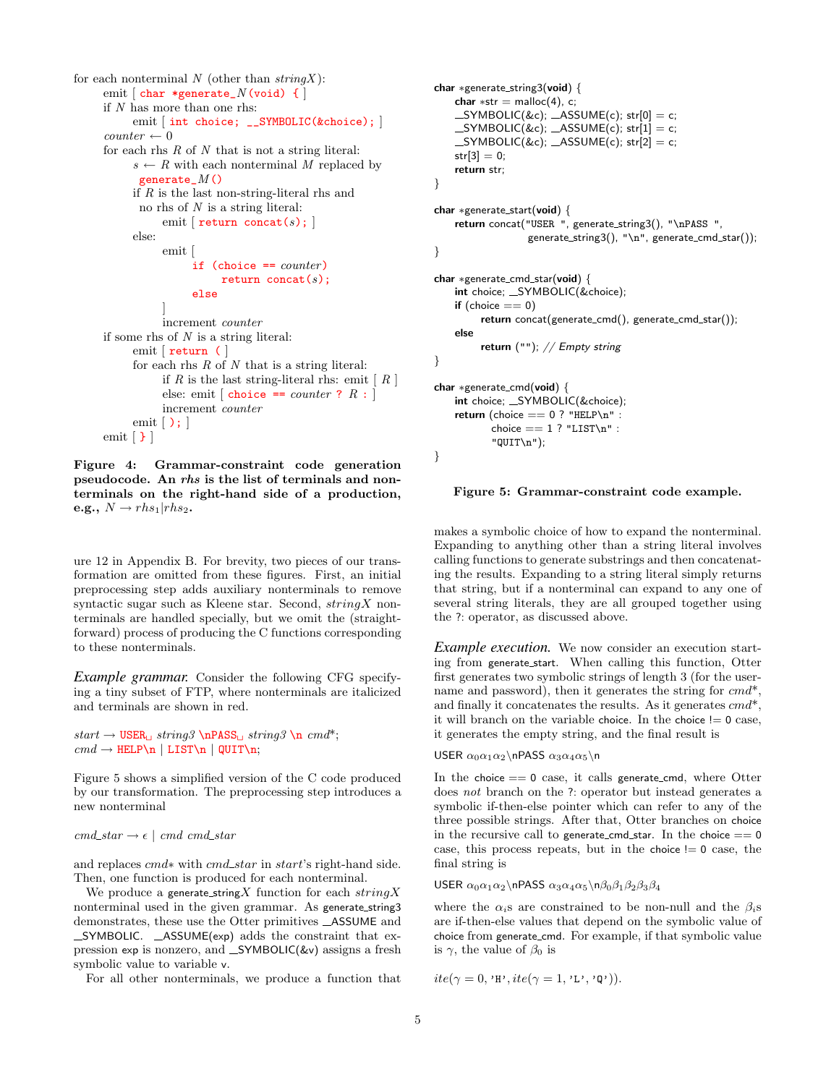```
for each nonterminal N (other than string X):
     emit \lceil char *generate_N (void) { \rceilif N has more than one rhs:
           emit [int choice; __SYMBOLIC(&choice); ]
     counter \leftarrow 0for each rhs R of N that is not a string literal:
           s \leftarrow R with each nonterminal M replaced by
            generate_M()if R is the last non-string-literal rhs and
            no rhs of N is a string literal:
                 emit \lceil return concat(s); \rceilelse:
                 emit [
                       if (choice == counter)
                             return concat(s);
                       else
                 ]
                 increment counter
     if some rhs of N is a string literal:
           emit [ return ( ]
           for each rhs R of N that is a string literal:
                 if R is the last string-literal rhs: emit \lceil R \rceilelse: emit \lceil choice == counter ? R : \rceilincrement counter
           emit [ ); ]
     emit [ } ]
```
Figure 4: Grammar-constraint code generation pseudocode. An rhs is the list of terminals and nonterminals on the right-hand side of a production, e.g.,  $N \rightarrow r h s_1 | r h s_2$ .

ure 12 in Appendix B. For brevity, two pieces of our transformation are omitted from these figures. First, an initial preprocessing step adds auxiliary nonterminals to remove syntactic sugar such as Kleene star. Second,  $stringX$  nonterminals are handled specially, but we omit the (straightforward) process of producing the C functions corresponding to these nonterminals.

*Example grammar.* Consider the following CFG specifying a tiny subset of FTP, where nonterminals are italicized and terminals are shown in red.

 $start \rightarrow \text{USER}_{\sqcup} string3 \ \nnPASS_{\sqcup} string3 \ \nin q3 \ \nin cmd^*;$  $cmd \rightarrow \text{HELP\n} | LIST\n | OUT\n;$ 

Figure 5 shows a simplified version of the C code produced by our transformation. The preprocessing step introduces a new nonterminal

#### cmd\_star  $\rightarrow \epsilon$  | cmd cmd\_star

and replaces *cmd*<sup>\*</sup> with *cmd\_star* in *start*'s right-hand side. Then, one function is produced for each nonterminal.

We produce a generate\_string X function for each  $string X$ nonterminal used in the given grammar. As generate\_string3 demonstrates, these use the Otter primitives  $\Delta$ SSUME and  $SVMBOLIC.$   $ASSUME(exp)$  adds the constraint that expression exp is nonzero, and  $\text{SYMBOLIC}(\&v)$  assigns a fresh symbolic value to variable v.

For all other nonterminals, we produce a function that

```
char ∗generate string3(void) {
    char *str = malloc(4), c;
    SYMBOLIC(\&c); \_\_ASSUME(c); str[0] = c;SYMBOLIC(\&c); ASSUME(c); str[1] = c;
    SYMBOLIC(&c); ASSUME(c); str[2] = c;
    str[3] = 0;return str;
}
char *generate_start(void) {
    return concat("USER ", generate string3(), "\nPASS ",
                  generate_string3(), "\n", generate_cmd_star());
}
char *generate_cmd_star(void) {
    int choice; _SYMBOLIC(&choice);
    if (choice == 0)
         return concat(generate_cmd(), generate_cmd_star());
    else
         return (""); // Empty string
}
char *generate_cmd(void) {
    int choice; _SYMBOLIC(&choice);
    return (choice == 0 ? "HELP\n" :
           {\tt choice} == 1 ? "LIST\n" :
           "QUIT\n");
}
```
#### Figure 5: Grammar-constraint code example.

makes a symbolic choice of how to expand the nonterminal. Expanding to anything other than a string literal involves calling functions to generate substrings and then concatenating the results. Expanding to a string literal simply returns that string, but if a nonterminal can expand to any one of several string literals, they are all grouped together using the ?: operator, as discussed above.

*Example execution.* We now consider an execution starting from generate start. When calling this function, Otter first generates two symbolic strings of length 3 (for the username and password), then it generates the string for  $cmd^*$ , and finally it concatenates the results. As it generates  $cmd^*$ , it will branch on the variable choice. In the choice  $!= 0$  case, it generates the empty string, and the final result is

USER  $\alpha_0\alpha_1\alpha_2$ \nPASS  $\alpha_3\alpha_4\alpha_5$ \n

In the choice  $== 0$  case, it calls generate\_cmd, where Otter does not branch on the ?: operator but instead generates a symbolic if-then-else pointer which can refer to any of the three possible strings. After that, Otter branches on choice in the recursive call to generate cmd star. In the choice  $== 0$ case, this process repeats, but in the choice  $!= 0$  case, the final string is

USER  $\alpha_0\alpha_1\alpha_2$ \nPASS  $\alpha_3\alpha_4\alpha_5$ \n $\beta_0\beta_1\beta_2\beta_3\beta_4$ 

where the  $\alpha_i$ s are constrained to be non-null and the  $\beta_i$ s are if-then-else values that depend on the symbolic value of choice from generate cmd. For example, if that symbolic value is  $\gamma$ , the value of  $\beta_0$  is

$$
ite(\gamma = 0, \text{'H'}, ite(\gamma = 1, \text{'L'}, \text{'Q'})).
$$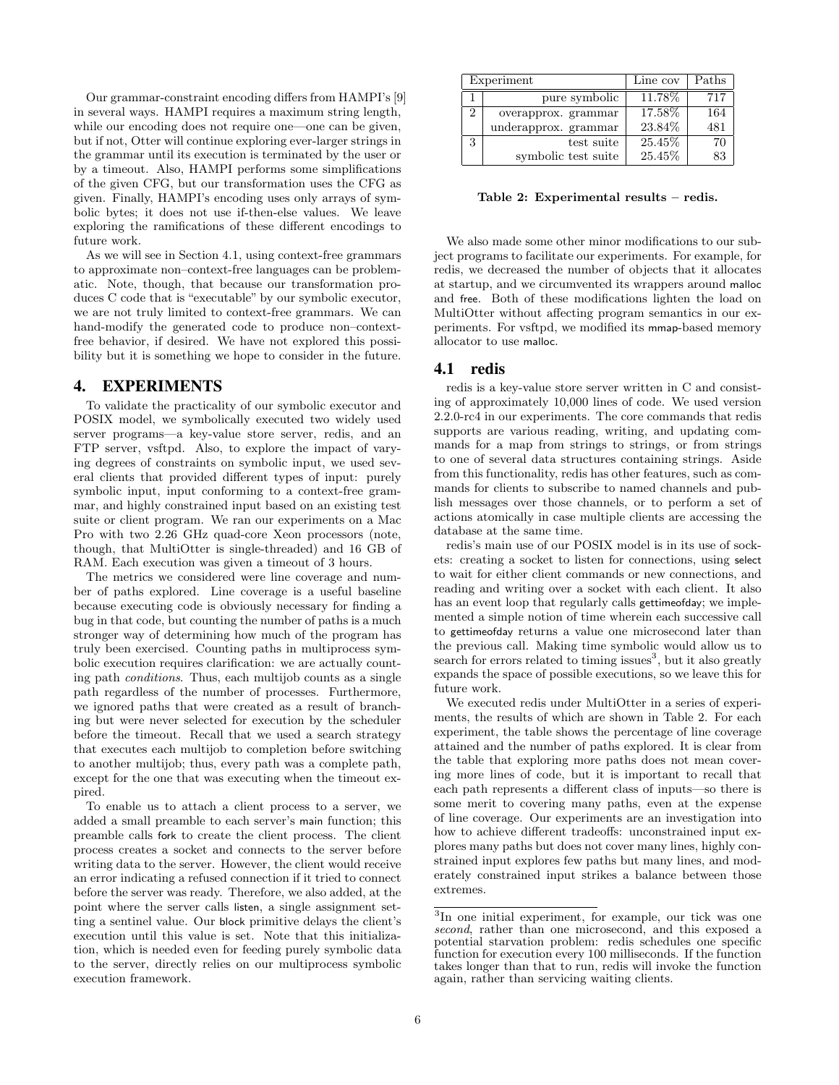Our grammar-constraint encoding differs from HAMPI's [9] in several ways. HAMPI requires a maximum string length, while our encoding does not require one—one can be given, but if not, Otter will continue exploring ever-larger strings in the grammar until its execution is terminated by the user or by a timeout. Also, HAMPI performs some simplifications of the given CFG, but our transformation uses the CFG as given. Finally, HAMPI's encoding uses only arrays of symbolic bytes; it does not use if-then-else values. We leave exploring the ramifications of these different encodings to future work.

As we will see in Section 4.1, using context-free grammars to approximate non–context-free languages can be problematic. Note, though, that because our transformation produces C code that is "executable" by our symbolic executor, we are not truly limited to context-free grammars. We can hand-modify the generated code to produce non–contextfree behavior, if desired. We have not explored this possibility but it is something we hope to consider in the future.

# 4. EXPERIMENTS

To validate the practicality of our symbolic executor and POSIX model, we symbolically executed two widely used server programs—a key-value store server, redis, and an FTP server, vsftpd. Also, to explore the impact of varying degrees of constraints on symbolic input, we used several clients that provided different types of input: purely symbolic input, input conforming to a context-free grammar, and highly constrained input based on an existing test suite or client program. We ran our experiments on a Mac Pro with two 2.26 GHz quad-core Xeon processors (note, though, that MultiOtter is single-threaded) and 16 GB of RAM. Each execution was given a timeout of 3 hours.

The metrics we considered were line coverage and number of paths explored. Line coverage is a useful baseline because executing code is obviously necessary for finding a bug in that code, but counting the number of paths is a much stronger way of determining how much of the program has truly been exercised. Counting paths in multiprocess symbolic execution requires clarification: we are actually counting path conditions. Thus, each multijob counts as a single path regardless of the number of processes. Furthermore, we ignored paths that were created as a result of branching but were never selected for execution by the scheduler before the timeout. Recall that we used a search strategy that executes each multijob to completion before switching to another multijob; thus, every path was a complete path, except for the one that was executing when the timeout expired.

To enable us to attach a client process to a server, we added a small preamble to each server's main function; this preamble calls fork to create the client process. The client process creates a socket and connects to the server before writing data to the server. However, the client would receive an error indicating a refused connection if it tried to connect before the server was ready. Therefore, we also added, at the point where the server calls listen, a single assignment setting a sentinel value. Our block primitive delays the client's execution until this value is set. Note that this initialization, which is needed even for feeding purely symbolic data to the server, directly relies on our multiprocess symbolic execution framework.

|               | Experiment           | Line cov | Paths |
|---------------|----------------------|----------|-------|
|               | pure symbolic        | 11.78%   | 717   |
| $\mathcal{D}$ | overapprox. grammar  | 17.58%   | 164   |
|               | underapprox. grammar | 23.84%   | 481   |
| -3            | test suite           | 25.45\%  | 70    |
|               | symbolic test suite  | 25.45%   | 83    |

Table 2: Experimental results – redis.

We also made some other minor modifications to our subject programs to facilitate our experiments. For example, for redis, we decreased the number of objects that it allocates at startup, and we circumvented its wrappers around malloc and free. Both of these modifications lighten the load on MultiOtter without affecting program semantics in our experiments. For vsftpd, we modified its mmap-based memory allocator to use malloc.

# 4.1 redis

redis is a key-value store server written in C and consisting of approximately 10,000 lines of code. We used version 2.2.0-rc4 in our experiments. The core commands that redis supports are various reading, writing, and updating commands for a map from strings to strings, or from strings to one of several data structures containing strings. Aside from this functionality, redis has other features, such as commands for clients to subscribe to named channels and publish messages over those channels, or to perform a set of actions atomically in case multiple clients are accessing the database at the same time.

redis's main use of our POSIX model is in its use of sockets: creating a socket to listen for connections, using select to wait for either client commands or new connections, and reading and writing over a socket with each client. It also has an event loop that regularly calls gettimeofday; we implemented a simple notion of time wherein each successive call to gettimeofday returns a value one microsecond later than the previous call. Making time symbolic would allow us to search for errors related to timing issues<sup>3</sup>, but it also greatly expands the space of possible executions, so we leave this for future work.

We executed redis under MultiOtter in a series of experiments, the results of which are shown in Table 2. For each experiment, the table shows the percentage of line coverage attained and the number of paths explored. It is clear from the table that exploring more paths does not mean covering more lines of code, but it is important to recall that each path represents a different class of inputs—so there is some merit to covering many paths, even at the expense of line coverage. Our experiments are an investigation into how to achieve different tradeoffs: unconstrained input explores many paths but does not cover many lines, highly constrained input explores few paths but many lines, and moderately constrained input strikes a balance between those extremes.

<sup>3</sup> In one initial experiment, for example, our tick was one second, rather than one microsecond, and this exposed a potential starvation problem: redis schedules one specific function for execution every 100 milliseconds. If the function takes longer than that to run, redis will invoke the function again, rather than servicing waiting clients.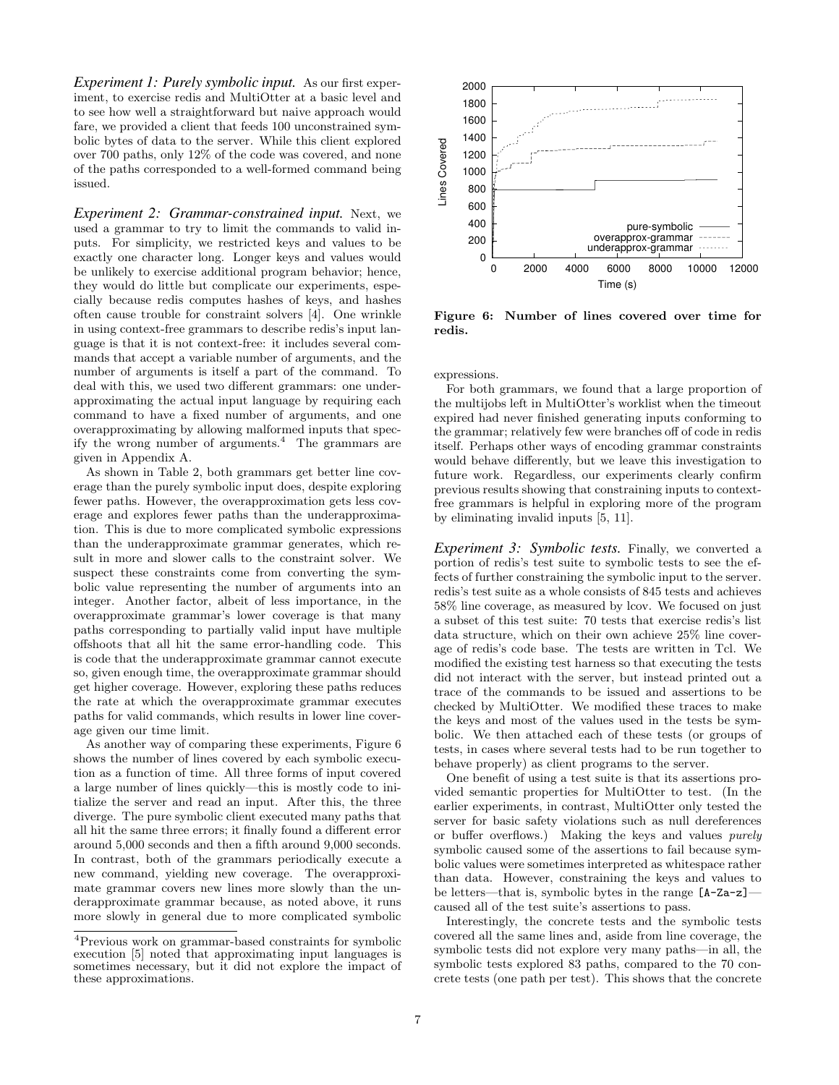*Experiment 1: Purely symbolic input.* As our first experiment, to exercise redis and MultiOtter at a basic level and to see how well a straightforward but naive approach would fare, we provided a client that feeds 100 unconstrained symbolic bytes of data to the server. While this client explored over 700 paths, only 12% of the code was covered, and none of the paths corresponded to a well-formed command being issued.

*Experiment 2: Grammar-constrained input.* Next, we used a grammar to try to limit the commands to valid inputs. For simplicity, we restricted keys and values to be exactly one character long. Longer keys and values would be unlikely to exercise additional program behavior; hence, they would do little but complicate our experiments, especially because redis computes hashes of keys, and hashes often cause trouble for constraint solvers [4]. One wrinkle in using context-free grammars to describe redis's input language is that it is not context-free: it includes several commands that accept a variable number of arguments, and the number of arguments is itself a part of the command. To deal with this, we used two different grammars: one underapproximating the actual input language by requiring each command to have a fixed number of arguments, and one overapproximating by allowing malformed inputs that specify the wrong number of arguments.<sup>4</sup> The grammars are given in Appendix A.

As shown in Table 2, both grammars get better line coverage than the purely symbolic input does, despite exploring fewer paths. However, the overapproximation gets less coverage and explores fewer paths than the underapproximation. This is due to more complicated symbolic expressions than the underapproximate grammar generates, which result in more and slower calls to the constraint solver. We suspect these constraints come from converting the symbolic value representing the number of arguments into an integer. Another factor, albeit of less importance, in the overapproximate grammar's lower coverage is that many paths corresponding to partially valid input have multiple offshoots that all hit the same error-handling code. This is code that the underapproximate grammar cannot execute so, given enough time, the overapproximate grammar should get higher coverage. However, exploring these paths reduces the rate at which the overapproximate grammar executes paths for valid commands, which results in lower line coverage given our time limit.

As another way of comparing these experiments, Figure 6 shows the number of lines covered by each symbolic execution as a function of time. All three forms of input covered a large number of lines quickly—this is mostly code to initialize the server and read an input. After this, the three diverge. The pure symbolic client executed many paths that all hit the same three errors; it finally found a different error around 5,000 seconds and then a fifth around 9,000 seconds. In contrast, both of the grammars periodically execute a new command, yielding new coverage. The overapproximate grammar covers new lines more slowly than the underapproximate grammar because, as noted above, it runs more slowly in general due to more complicated symbolic



Figure 6: Number of lines covered over time for redis.

expressions.

For both grammars, we found that a large proportion of the multijobs left in MultiOtter's worklist when the timeout expired had never finished generating inputs conforming to the grammar; relatively few were branches off of code in redis itself. Perhaps other ways of encoding grammar constraints would behave differently, but we leave this investigation to future work. Regardless, our experiments clearly confirm previous results showing that constraining inputs to contextfree grammars is helpful in exploring more of the program by eliminating invalid inputs [5, 11].

*Experiment 3: Symbolic tests.* Finally, we converted a portion of redis's test suite to symbolic tests to see the effects of further constraining the symbolic input to the server. redis's test suite as a whole consists of 845 tests and achieves 58% line coverage, as measured by lcov. We focused on just a subset of this test suite: 70 tests that exercise redis's list data structure, which on their own achieve 25% line coverage of redis's code base. The tests are written in Tcl. We modified the existing test harness so that executing the tests did not interact with the server, but instead printed out a trace of the commands to be issued and assertions to be checked by MultiOtter. We modified these traces to make the keys and most of the values used in the tests be symbolic. We then attached each of these tests (or groups of tests, in cases where several tests had to be run together to behave properly) as client programs to the server.

One benefit of using a test suite is that its assertions provided semantic properties for MultiOtter to test. (In the earlier experiments, in contrast, MultiOtter only tested the server for basic safety violations such as null dereferences or buffer overflows.) Making the keys and values purely symbolic caused some of the assertions to fail because symbolic values were sometimes interpreted as whitespace rather than data. However, constraining the keys and values to be letters—that is, symbolic bytes in the range [A-Za-z] caused all of the test suite's assertions to pass.

Interestingly, the concrete tests and the symbolic tests covered all the same lines and, aside from line coverage, the symbolic tests did not explore very many paths—in all, the symbolic tests explored 83 paths, compared to the 70 concrete tests (one path per test). This shows that the concrete

 $^4\rm{Previous}$  work on grammar-based constraints for symbolic execution [5] noted that approximating input languages is sometimes necessary, but it did not explore the impact of these approximations.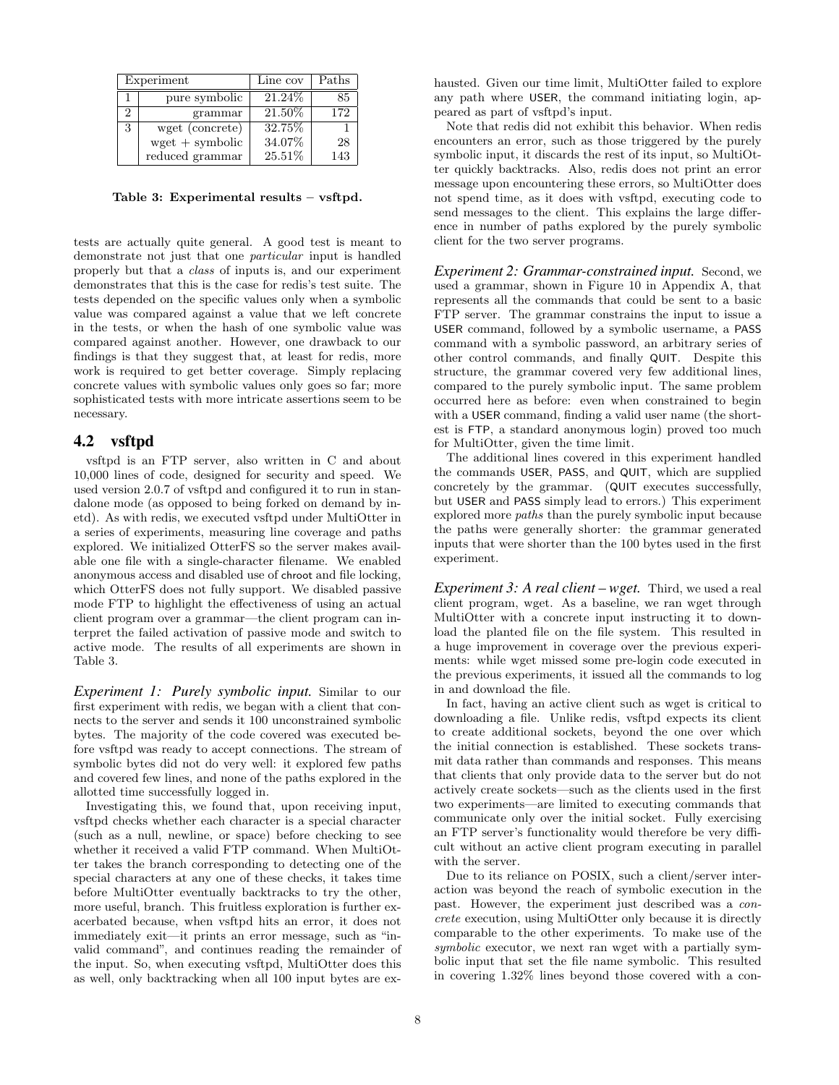| Experiment |                   | Line cov | Paths |
|------------|-------------------|----------|-------|
|            | pure symbolic     | 21.24\%  | 85    |
| 2          | grammar           | 21.50%   | 172   |
| 3          | wget (concrete)   | 32.75%   |       |
|            | $wget + symbolic$ | 34.07%   | 28    |
|            | reduced grammar   | 25.51%   | 143   |

Table 3: Experimental results – vsftpd.

tests are actually quite general. A good test is meant to demonstrate not just that one particular input is handled properly but that a class of inputs is, and our experiment demonstrates that this is the case for redis's test suite. The tests depended on the specific values only when a symbolic value was compared against a value that we left concrete in the tests, or when the hash of one symbolic value was compared against another. However, one drawback to our findings is that they suggest that, at least for redis, more work is required to get better coverage. Simply replacing concrete values with symbolic values only goes so far; more sophisticated tests with more intricate assertions seem to be necessary.

#### 4.2 vsftpd

vsftpd is an FTP server, also written in C and about 10,000 lines of code, designed for security and speed. We used version 2.0.7 of vsftpd and configured it to run in standalone mode (as opposed to being forked on demand by inetd). As with redis, we executed vsftpd under MultiOtter in a series of experiments, measuring line coverage and paths explored. We initialized OtterFS so the server makes available one file with a single-character filename. We enabled anonymous access and disabled use of chroot and file locking, which OtterFS does not fully support. We disabled passive mode FTP to highlight the effectiveness of using an actual client program over a grammar—the client program can interpret the failed activation of passive mode and switch to active mode. The results of all experiments are shown in Table 3.

*Experiment 1: Purely symbolic input.* Similar to our first experiment with redis, we began with a client that connects to the server and sends it 100 unconstrained symbolic bytes. The majority of the code covered was executed before vsftpd was ready to accept connections. The stream of symbolic bytes did not do very well: it explored few paths and covered few lines, and none of the paths explored in the allotted time successfully logged in.

Investigating this, we found that, upon receiving input, vsftpd checks whether each character is a special character (such as a null, newline, or space) before checking to see whether it received a valid FTP command. When MultiOtter takes the branch corresponding to detecting one of the special characters at any one of these checks, it takes time before MultiOtter eventually backtracks to try the other, more useful, branch. This fruitless exploration is further exacerbated because, when vsftpd hits an error, it does not immediately exit—it prints an error message, such as "invalid command", and continues reading the remainder of the input. So, when executing vsftpd, MultiOtter does this as well, only backtracking when all 100 input bytes are exhausted. Given our time limit, MultiOtter failed to explore any path where USER, the command initiating login, appeared as part of vsftpd's input.

Note that redis did not exhibit this behavior. When redis encounters an error, such as those triggered by the purely symbolic input, it discards the rest of its input, so MultiOtter quickly backtracks. Also, redis does not print an error message upon encountering these errors, so MultiOtter does not spend time, as it does with vsftpd, executing code to send messages to the client. This explains the large difference in number of paths explored by the purely symbolic client for the two server programs.

*Experiment 2: Grammar-constrained input.* Second, we used a grammar, shown in Figure 10 in Appendix A, that represents all the commands that could be sent to a basic FTP server. The grammar constrains the input to issue a USER command, followed by a symbolic username, a PASS command with a symbolic password, an arbitrary series of other control commands, and finally QUIT. Despite this structure, the grammar covered very few additional lines, compared to the purely symbolic input. The same problem occurred here as before: even when constrained to begin with a USER command, finding a valid user name (the shortest is FTP, a standard anonymous login) proved too much for MultiOtter, given the time limit.

The additional lines covered in this experiment handled the commands USER, PASS, and QUIT, which are supplied concretely by the grammar. (QUIT executes successfully, but USER and PASS simply lead to errors.) This experiment explored more paths than the purely symbolic input because the paths were generally shorter: the grammar generated inputs that were shorter than the 100 bytes used in the first experiment.

*Experiment 3: A real client – wget.* Third, we used a real client program, wget. As a baseline, we ran wget through MultiOtter with a concrete input instructing it to download the planted file on the file system. This resulted in a huge improvement in coverage over the previous experiments: while wget missed some pre-login code executed in the previous experiments, it issued all the commands to log in and download the file.

In fact, having an active client such as wget is critical to downloading a file. Unlike redis, vsftpd expects its client to create additional sockets, beyond the one over which the initial connection is established. These sockets transmit data rather than commands and responses. This means that clients that only provide data to the server but do not actively create sockets—such as the clients used in the first two experiments—are limited to executing commands that communicate only over the initial socket. Fully exercising an FTP server's functionality would therefore be very difficult without an active client program executing in parallel with the server.

Due to its reliance on POSIX, such a client/server interaction was beyond the reach of symbolic execution in the past. However, the experiment just described was a concrete execution, using MultiOtter only because it is directly comparable to the other experiments. To make use of the symbolic executor, we next ran wget with a partially symbolic input that set the file name symbolic. This resulted in covering 1.32% lines beyond those covered with a con-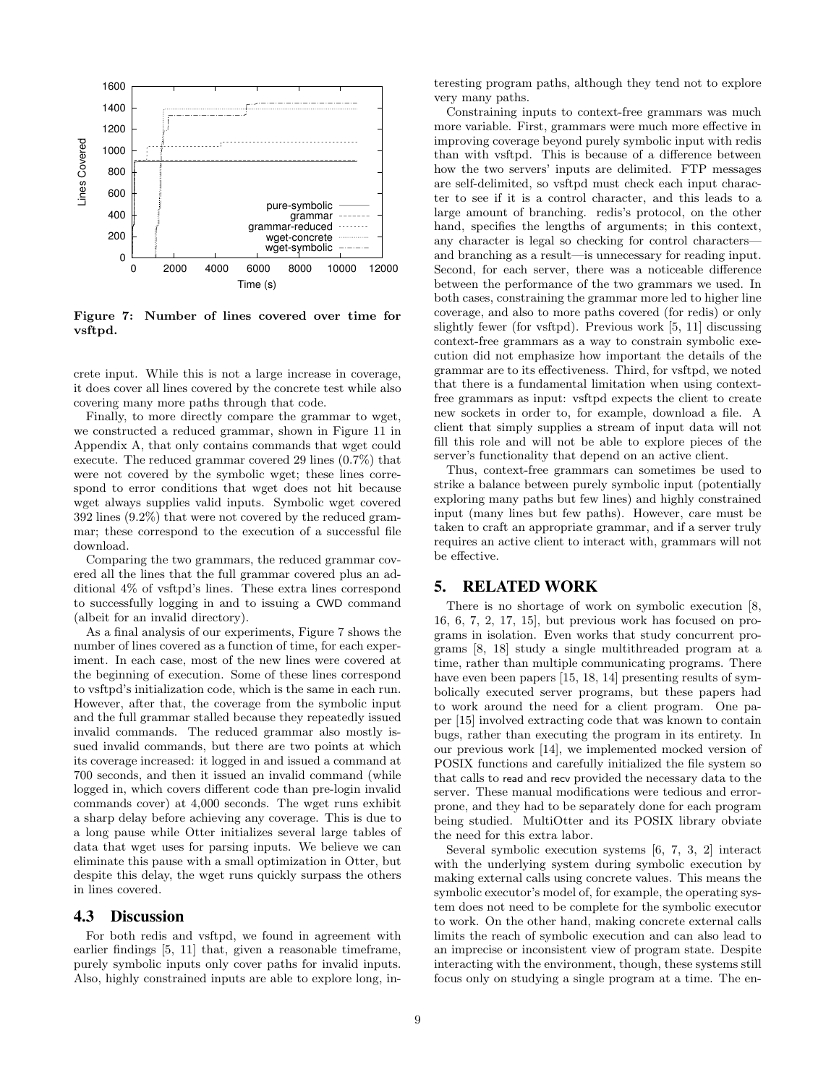

Figure 7: Number of lines covered over time for vsftpd.

crete input. While this is not a large increase in coverage, it does cover all lines covered by the concrete test while also covering many more paths through that code.

Finally, to more directly compare the grammar to wget, we constructed a reduced grammar, shown in Figure 11 in Appendix A, that only contains commands that wget could execute. The reduced grammar covered 29 lines (0.7%) that were not covered by the symbolic wget; these lines correspond to error conditions that wget does not hit because wget always supplies valid inputs. Symbolic wget covered 392 lines (9.2%) that were not covered by the reduced grammar; these correspond to the execution of a successful file download.

Comparing the two grammars, the reduced grammar covered all the lines that the full grammar covered plus an additional 4% of vsftpd's lines. These extra lines correspond to successfully logging in and to issuing a CWD command (albeit for an invalid directory).

As a final analysis of our experiments, Figure 7 shows the number of lines covered as a function of time, for each experiment. In each case, most of the new lines were covered at the beginning of execution. Some of these lines correspond to vsftpd's initialization code, which is the same in each run. However, after that, the coverage from the symbolic input and the full grammar stalled because they repeatedly issued invalid commands. The reduced grammar also mostly issued invalid commands, but there are two points at which its coverage increased: it logged in and issued a command at 700 seconds, and then it issued an invalid command (while logged in, which covers different code than pre-login invalid commands cover) at 4,000 seconds. The wget runs exhibit a sharp delay before achieving any coverage. This is due to a long pause while Otter initializes several large tables of data that wget uses for parsing inputs. We believe we can eliminate this pause with a small optimization in Otter, but despite this delay, the wget runs quickly surpass the others in lines covered.

## 4.3 Discussion

For both redis and vsftpd, we found in agreement with earlier findings [5, 11] that, given a reasonable timeframe, purely symbolic inputs only cover paths for invalid inputs. Also, highly constrained inputs are able to explore long, interesting program paths, although they tend not to explore very many paths.

Constraining inputs to context-free grammars was much more variable. First, grammars were much more effective in improving coverage beyond purely symbolic input with redis than with vsftpd. This is because of a difference between how the two servers' inputs are delimited. FTP messages are self-delimited, so vsftpd must check each input character to see if it is a control character, and this leads to a large amount of branching. redis's protocol, on the other hand, specifies the lengths of arguments; in this context, any character is legal so checking for control characters and branching as a result—is unnecessary for reading input. Second, for each server, there was a noticeable difference between the performance of the two grammars we used. In both cases, constraining the grammar more led to higher line coverage, and also to more paths covered (for redis) or only slightly fewer (for vsftpd). Previous work [5, 11] discussing context-free grammars as a way to constrain symbolic execution did not emphasize how important the details of the grammar are to its effectiveness. Third, for vsftpd, we noted that there is a fundamental limitation when using contextfree grammars as input: vsftpd expects the client to create new sockets in order to, for example, download a file. A client that simply supplies a stream of input data will not fill this role and will not be able to explore pieces of the server's functionality that depend on an active client.

Thus, context-free grammars can sometimes be used to strike a balance between purely symbolic input (potentially exploring many paths but few lines) and highly constrained input (many lines but few paths). However, care must be taken to craft an appropriate grammar, and if a server truly requires an active client to interact with, grammars will not be effective.

# 5. RELATED WORK

There is no shortage of work on symbolic execution [8, 16, 6, 7, 2, 17, 15], but previous work has focused on programs in isolation. Even works that study concurrent programs [8, 18] study a single multithreaded program at a time, rather than multiple communicating programs. There have even been papers [15, 18, 14] presenting results of symbolically executed server programs, but these papers had to work around the need for a client program. One paper [15] involved extracting code that was known to contain bugs, rather than executing the program in its entirety. In our previous work [14], we implemented mocked version of POSIX functions and carefully initialized the file system so that calls to read and recv provided the necessary data to the server. These manual modifications were tedious and errorprone, and they had to be separately done for each program being studied. MultiOtter and its POSIX library obviate the need for this extra labor.

Several symbolic execution systems [6, 7, 3, 2] interact with the underlying system during symbolic execution by making external calls using concrete values. This means the symbolic executor's model of, for example, the operating system does not need to be complete for the symbolic executor to work. On the other hand, making concrete external calls limits the reach of symbolic execution and can also lead to an imprecise or inconsistent view of program state. Despite interacting with the environment, though, these systems still focus only on studying a single program at a time. The en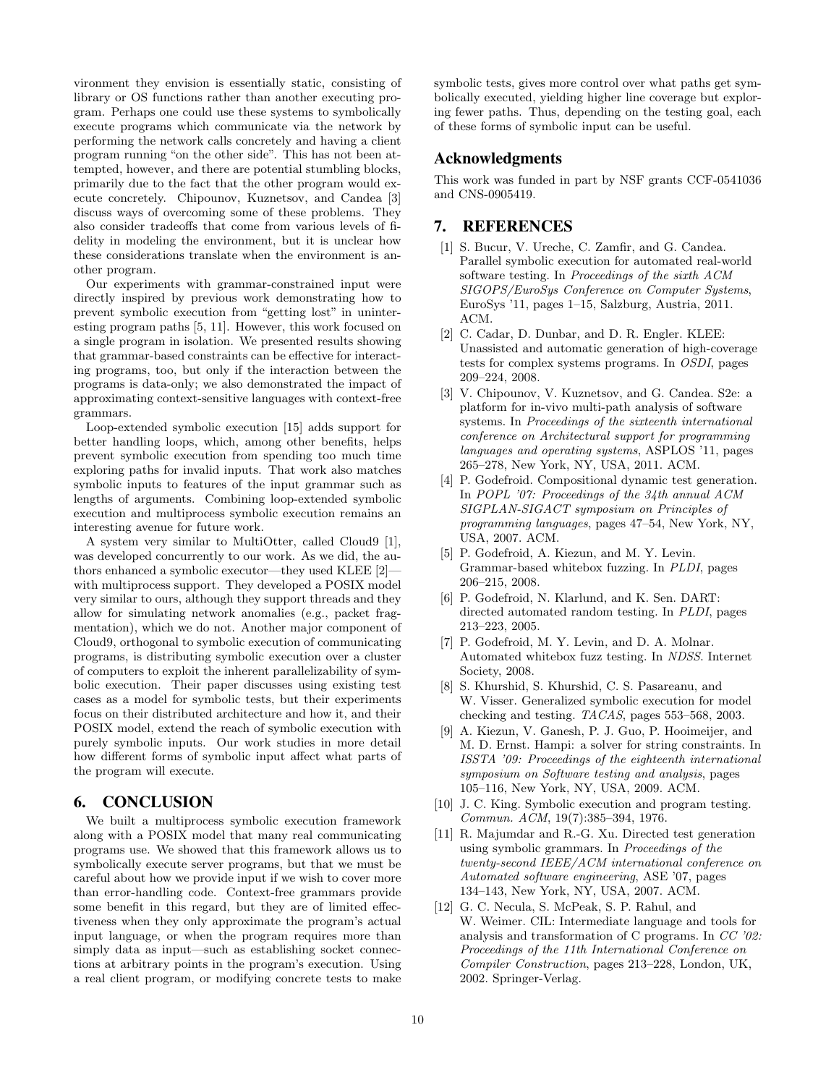vironment they envision is essentially static, consisting of library or OS functions rather than another executing program. Perhaps one could use these systems to symbolically execute programs which communicate via the network by performing the network calls concretely and having a client program running "on the other side". This has not been attempted, however, and there are potential stumbling blocks, primarily due to the fact that the other program would execute concretely. Chipounov, Kuznetsov, and Candea [3] discuss ways of overcoming some of these problems. They also consider tradeoffs that come from various levels of fidelity in modeling the environment, but it is unclear how these considerations translate when the environment is another program.

Our experiments with grammar-constrained input were directly inspired by previous work demonstrating how to prevent symbolic execution from "getting lost" in uninteresting program paths [5, 11]. However, this work focused on a single program in isolation. We presented results showing that grammar-based constraints can be effective for interacting programs, too, but only if the interaction between the programs is data-only; we also demonstrated the impact of approximating context-sensitive languages with context-free grammars.

Loop-extended symbolic execution [15] adds support for better handling loops, which, among other benefits, helps prevent symbolic execution from spending too much time exploring paths for invalid inputs. That work also matches symbolic inputs to features of the input grammar such as lengths of arguments. Combining loop-extended symbolic execution and multiprocess symbolic execution remains an interesting avenue for future work.

A system very similar to MultiOtter, called Cloud9 [1], was developed concurrently to our work. As we did, the authors enhanced a symbolic executor—they used KLEE [2] with multiprocess support. They developed a POSIX model very similar to ours, although they support threads and they allow for simulating network anomalies (e.g., packet fragmentation), which we do not. Another major component of Cloud9, orthogonal to symbolic execution of communicating programs, is distributing symbolic execution over a cluster of computers to exploit the inherent parallelizability of symbolic execution. Their paper discusses using existing test cases as a model for symbolic tests, but their experiments focus on their distributed architecture and how it, and their POSIX model, extend the reach of symbolic execution with purely symbolic inputs. Our work studies in more detail how different forms of symbolic input affect what parts of the program will execute.

# 6. CONCLUSION

We built a multiprocess symbolic execution framework along with a POSIX model that many real communicating programs use. We showed that this framework allows us to symbolically execute server programs, but that we must be careful about how we provide input if we wish to cover more than error-handling code. Context-free grammars provide some benefit in this regard, but they are of limited effectiveness when they only approximate the program's actual input language, or when the program requires more than simply data as input—such as establishing socket connections at arbitrary points in the program's execution. Using a real client program, or modifying concrete tests to make symbolic tests, gives more control over what paths get symbolically executed, yielding higher line coverage but exploring fewer paths. Thus, depending on the testing goal, each of these forms of symbolic input can be useful.

## Acknowledgments

This work was funded in part by NSF grants CCF-0541036 and CNS-0905419.

# 7. REFERENCES

- [1] S. Bucur, V. Ureche, C. Zamfir, and G. Candea. Parallel symbolic execution for automated real-world software testing. In Proceedings of the sixth ACM SIGOPS/EuroSys Conference on Computer Systems, EuroSys '11, pages 1–15, Salzburg, Austria, 2011. ACM.
- [2] C. Cadar, D. Dunbar, and D. R. Engler. KLEE: Unassisted and automatic generation of high-coverage tests for complex systems programs. In OSDI, pages 209–224, 2008.
- [3] V. Chipounov, V. Kuznetsov, and G. Candea. S2e: a platform for in-vivo multi-path analysis of software systems. In Proceedings of the sixteenth international conference on Architectural support for programming languages and operating systems, ASPLOS '11, pages 265–278, New York, NY, USA, 2011. ACM.
- [4] P. Godefroid. Compositional dynamic test generation. In POPL '07: Proceedings of the 34th annual ACM SIGPLAN-SIGACT symposium on Principles of programming languages, pages 47–54, New York, NY, USA, 2007. ACM.
- [5] P. Godefroid, A. Kiezun, and M. Y. Levin. Grammar-based whitebox fuzzing. In PLDI, pages 206–215, 2008.
- [6] P. Godefroid, N. Klarlund, and K. Sen. DART: directed automated random testing. In PLDI, pages 213–223, 2005.
- [7] P. Godefroid, M. Y. Levin, and D. A. Molnar. Automated whitebox fuzz testing. In NDSS. Internet Society, 2008.
- [8] S. Khurshid, S. Khurshid, C. S. Pasareanu, and W. Visser. Generalized symbolic execution for model checking and testing. TACAS, pages 553–568, 2003.
- [9] A. Kiezun, V. Ganesh, P. J. Guo, P. Hooimeijer, and M. D. Ernst. Hampi: a solver for string constraints. In ISSTA '09: Proceedings of the eighteenth international symposium on Software testing and analysis, pages 105–116, New York, NY, USA, 2009. ACM.
- [10] J. C. King. Symbolic execution and program testing. Commun. ACM, 19(7):385–394, 1976.
- [11] R. Majumdar and R.-G. Xu. Directed test generation using symbolic grammars. In Proceedings of the twenty-second IEEE/ACM international conference on Automated software engineering, ASE '07, pages 134–143, New York, NY, USA, 2007. ACM.
- [12] G. C. Necula, S. McPeak, S. P. Rahul, and W. Weimer. CIL: Intermediate language and tools for analysis and transformation of C programs. In CC '02: Proceedings of the 11th International Conference on Compiler Construction, pages 213–228, London, UK, 2002. Springer-Verlag.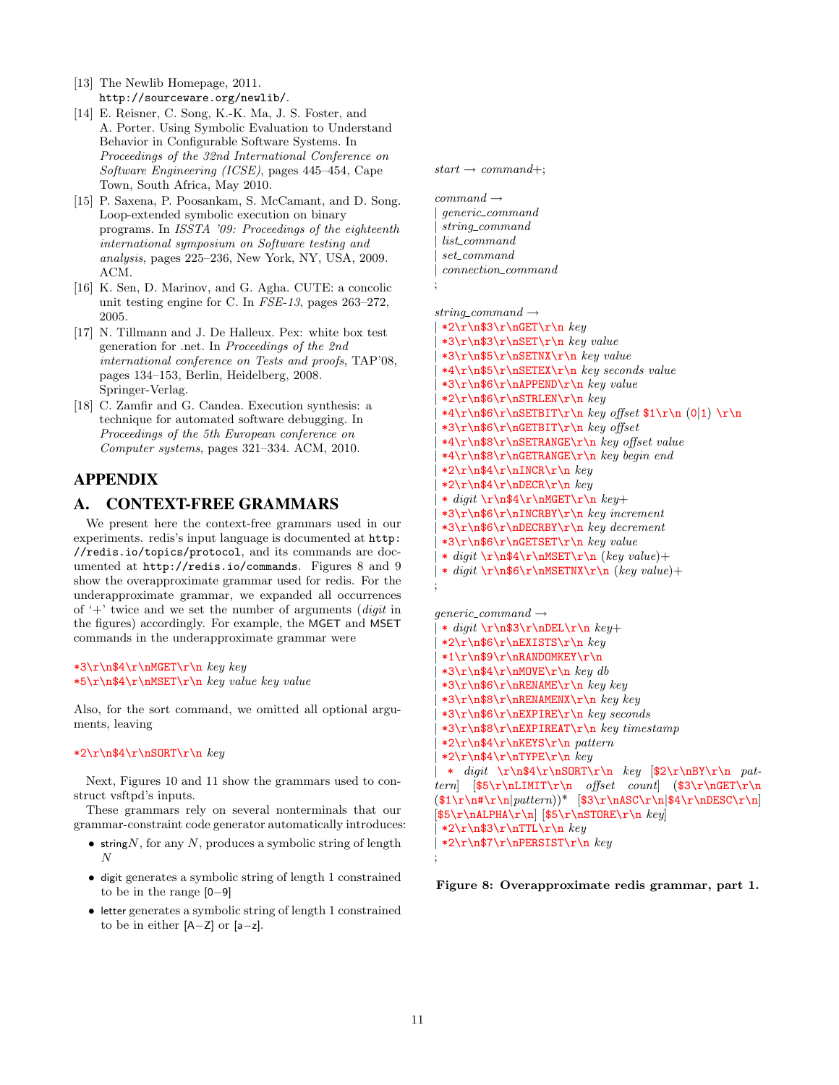- [13] The Newlib Homepage, 2011. http://sourceware.org/newlib/.
- [14] E. Reisner, C. Song, K.-K. Ma, J. S. Foster, and A. Porter. Using Symbolic Evaluation to Understand Behavior in Configurable Software Systems. In Proceedings of the 32nd International Conference on Software Engineering (ICSE), pages 445–454, Cape Town, South Africa, May 2010.
- [15] P. Saxena, P. Poosankam, S. McCamant, and D. Song. Loop-extended symbolic execution on binary programs. In ISSTA '09: Proceedings of the eighteenth international symposium on Software testing and analysis, pages 225–236, New York, NY, USA, 2009. ACM.
- [16] K. Sen, D. Marinov, and G. Agha. CUTE: a concolic unit testing engine for C. In FSE-13, pages 263–272, 2005.
- [17] N. Tillmann and J. De Halleux. Pex: white box test generation for .net. In Proceedings of the 2nd international conference on Tests and proofs, TAP'08, pages 134–153, Berlin, Heidelberg, 2008. Springer-Verlag.
- [18] C. Zamfir and G. Candea. Execution synthesis: a technique for automated software debugging. In Proceedings of the 5th European conference on Computer systems, pages 321–334. ACM, 2010.

# APPENDIX

# A. CONTEXT-FREE GRAMMARS

We present here the context-free grammars used in our experiments. redis's input language is documented at http: //redis.io/topics/protocol, and its commands are documented at http://redis.io/commands. Figures 8 and 9 show the overapproximate grammar used for redis. For the underapproximate grammar, we expanded all occurrences of  $+$  twice and we set the number of arguments (*digit* in the figures) accordingly. For example, the MGET and MSET commands in the underapproximate grammar were

\*3\r\n\$4\r\nMGET\r\n key key  $\scriptstyle\star\text{5}\r\n$  \*5\r\n\$4\r\nMSET\r\n key value key value

Also, for the sort command, we omitted all optional arguments, leaving

#### \*2\r\n\$4\r\nS0RT\r\n $key$

Next, Figures 10 and 11 show the grammars used to construct vsftpd's inputs.

These grammars rely on several nonterminals that our grammar-constraint code generator automatically introduces:

- string  $N$ , for any  $N$ , produces a symbolic string of length N
- digit generates a symbolic string of length 1 constrained to be in the range [0−9]
- letter generates a symbolic string of length 1 constrained to be in either [A−Z] or [a−z].

 $start \rightarrow command+$ ;

 $command \rightarrow$ | generic command | string command  $list\_command$  $set\_command$ | connection command

;

;

```
string_command \rightarrow*2\r\n\frac{3\r\nGET\r\n key}| *3\r\n$3\r\nSET\r\n key value
 *3\r\n\#5\r\nSETNX\r\n\ne\ny\ value| *4\r\n$5\r\nSETEX\r\n key seconds value
 | *3\r\n$6\r\nAPPEND\r\n key value
 *2\r\n\%6\r\nSTRUEN\r\nh key*4\r\n\frac{6\r\nSETBIT\r\n key offset $1\r\n (0|1) \r\n n}*3\r\n\frac{6\r\nGETBIT\r\n key offset}| *4\r\n$8\r\nSETRANGE\r\n key offset value
 *4\r\n\frac{8\r\nGETRANGE\r\n key begin end*2\r\n\frac{4\r\nIRCR}{r\n kev}*2\r\n\frac{4\r\nDECR\r\n key}* digit \r\n$4\r\nMGET\r\n key+
 | *3\r\n$6\r\nINCRBY\r\n key increment
 | *3\r\n$6\r\nDECRBY\r\n key decrement
 *3\r\n\frac{6\r\nGETSET\r\n key value* digit \r\n$4\r\nMSET\r\n (key value)+
```
 $*$  digit \r\n\$6\r\nMSETNX\r\n (key value)+

 $generic\_command \rightarrow$ 

```
* digit \r\n$3\r\nDEL\r\n key+
 *2\r\n\#6\r\nEXISTS\r\nkey| *1\r\n$9\r\nRANDOMKEY\r\n
 *3\r\n\#4\r\nMOWE\r\nh key db*3\r\n\theta\r\nRENAME\r\nh key key*3\r\n$8\r\nRENAMENX\r\n key key
 | *3\r\n$6\r\nEXPIRE\r\n key seconds
 | *3\r\n$8\r\nEXPIREAT\r\n key timestamp
 | *2\r\n$4\r\nKEYS\r\n pattern
 *2\r\n$4\r\nTYPE\r\n key* digit \r\n$4\r\nSORT\r\n key [$2\r\nBY\r\n pat-
tern] \frac{\text{Tr}\r\cdot \text{const}}{\text{St}\r\cdot \text{const}}(\$1\r\n#\r\nh|pattern)<sup>*</sup> \$3\r\nhASC\r\nh|\$4\r\nDESC\r\nh]|\$5\r\nALPHA\r\n|| \$\$T\nSTORE\r\nh key*2\r\n\sqrt{2\r\ln 3\r\ln TLL}r\n \leq y
```
| \*2\r\n\$7\r\nPERSIST\r\n  $key$ 

Figure 8: Overapproximate redis grammar, part 1.

;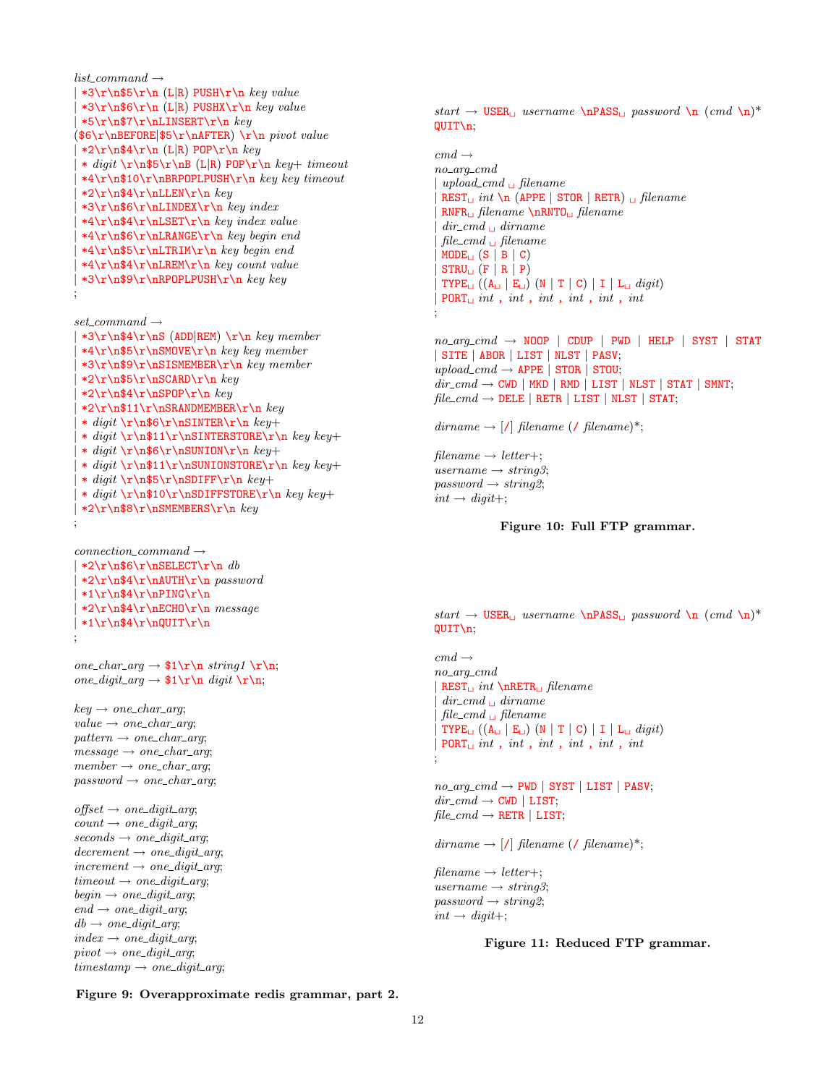$list\_command \rightarrow$ |  $*3\r\n\frac{5}{r}n (L|R) PUSH\r\n\neq *value*$  $*3\r\n\#6\r\nh (L|R) PUSHX\rr\nh key value$  $*5\r\n\frac{7\r\nlINSERT\r\n key}$  $($\r\nBEFORE|$5\r\nAFTER) \r\nin pivot value$  $*2\r\n\frac{4\r\ln(L|R) P0P\r\ln key}{}$ \* digit \r\n\$5\r\nB (L|R) POP\r\n  $key+$  timeout  $*4\r\n\#10\r\nBRP0PLPUSH\r\nby key timeout$  $*2\r\n\frac{4\r\nlLEN\r\n key}$  $*3\r\n\#6\r\nLLINDEX\r\nkey index$  $*4\r\n\frac{\r\nl\text{r}\n key index value}$  $*4\r\n\frac{6\r\nlRANGE\r\n key begin end$  $*4\r\n\frac{5\r\nlTRIM\r\n key begin end}$  $*4\r\n\frac{4\r\nlREM}{r\n key count value}$  $\rightarrow$  \*3\r\n\$9\r\nRPOPLPUSH\r\n key key ;

 $set\_command \rightarrow$ 

;

 $|\ast3\r\n\$  +3\r\n\$4\r\nS (ADD|REM) \r\n key member  $*4\r\n\frac{5\r\nSWD\r\n key key member}$  $*3\r\n\%9\r\nMSISMEMBER\r\nh key member$  $\star 2\r\n\frac{5\r\nSCARD\r\n key}$  $\star 2\r\n\frac{4\r\nSPOP}{r\n \ key}$  $*2\r\n\$ 11\r\nSRANDMEMBER\r\n key  $*$  digit \r\n\$6\r\nSINTER\r\n key+ \* digit \r\n\$11\r\nSINTERSTORE\r\n key key+ \* digit \r\n\$6\r\nSUNION\r\n  $key+$ \* digit \r\n\$11\r\nSUNIONSTORE\r\n key key+ \* digit \r\n\$5\r\nSDIFF\r\n key+  $*$  digit \r\n\$10\r\nSDIFFSTORE\r\n key key+ | \*2\r\n\$8\r\nSMEMBERS\r\n  $key$ 

connection command  $\rightarrow$  $| *2\r\n\$ 6\r\nSELECT\r\n<i> db</i>  $*2\r\n\frac{4\r\nAUTH\r\n*password*$ | \*1\r\n\$4\r\nPING\r\n  $*2\r\n\frac{4\r\nEECHO\r\n $message$$ | \*1\r\n\$4\r\nQUIT\r\n ;

one\_char\_arg  $\rightarrow$  \$1\r\n string1 \r\n; one\_digit\_arg  $\rightarrow$  \$1\r\n digit \r\n;

 $key \rightarrow one\_char\_arg;$  $value \rightarrow one\_char\_{arg};$  $pattern \rightarrow one\_char\_{arg};$  $message \rightarrow one\_char\_arg;$  $member \rightarrow one\_char\_arg;$  $password \rightarrow one_{char\_arg};$ 

 $offset \rightarrow one\_digit\_arg;$  $count \rightarrow one\_digit\_arg;$  $seconds \rightarrow one\_digit\_arg;$  $decrement \rightarrow one\_digit\_arg;$  $increment \rightarrow one\_digit\_arg;$  $timeout \rightarrow one\_digit\_arg;$  $begin \rightarrow$  one\_digit\_arg;  $end \rightarrow one\_digit\_arg;$  $db \rightarrow one\_digit\_arg;$  $index \rightarrow one\_digit\_arg;$  $pivot \rightarrow \: one\_digit\_arg;$  $timestamp \rightarrow one\_digit\_arg;$  start  $\rightarrow$  USER<sub> $\cup$ </sub> username  $\n\neq$  password  $\n\neq$  (cmd  $\n\neq$ )\* QUIT\n;

 $cmd \rightarrow$  $no_2arq_{cm}d$ | upload\_cmd  $\Box$  filename  $REST_{\Box} int \nightharpoonup (APPE | STOR | RETR) \Box filename$  $RNFR_{\Box}$  filename  $\nRNTO_{\Box}$  filename  $dir\_cmd \sqcup dirname$  $\emph{file\_cmd}\sqcup \emph{filename}$  $MODE_{\sqcup} (S | B | C)$  $STRU_{\Box} (F | R | P)$  $\text{TYPE}_{\sqcup} \left( (\mathtt{A}_{\sqcup} \mid \mathtt{E}_{\sqcup}) \left( \mathtt{N} \mid \mathtt{T} \mid \mathtt{C} \right) \mid \mathtt{I} \mid \mathtt{L}_{\sqcup} \text{ digit} \right)$ | PORT $\perp$  int, int, int, int, int ;

 $no\_{arg\_cmd}$   $\rightarrow$  NOOP | CDUP | PWD | HELP | SYST | STAT | SITE | ABOR | LIST | NLST | PASV;  $\emph{upload\_cmd} \rightarrow \emph{APPE} \mid \emph{STOR} \mid \emph{STOU};$  $dir\_cmd \rightarrow$  CWD | MKD | RMD | LIST | NLST | STAT | SMNT;  $file\_cmd \rightarrow \text{DELE}$  | RETR | LIST | NLST | STAT;

 $dirname \rightarrow |I|$  filename (/ filename)\*;

 $filename \rightarrow letter+$ ; username  $\rightarrow$  string3;  $password \rightarrow string2;$  $int \rightarrow digit+$ ;

Figure 10: Full FTP grammar.

start  $\rightarrow$  USER<sub>U</sub> username \nPASS<sub>U</sub> password \n (cmd \n)<sup>\*</sup> QUIT\n;

 $cmd \rightarrow$ no arg cmd  $REST_{\Box} int \nRETR_{\Box} filename$  $dir\_cmd \sqcup dirname$  $file\_cmd \sqcup filename$  $\text{TYPE}_{\Box}((A_{\Box} | E_{\Box}) (N | T | C) | I | L_{\Box} \text{ digit})$ | PORT $\lrcorner$  int , int , int , int , int , int

 $no_2arg\_cmd \rightarrow PWD$  | SYST | LIST | PASV;  $dir\_cmd \rightarrow$  CWD | LIST;  $file\_cmd \rightarrow RETR | LIST;$ 

 $dirname \rightarrow |I|$  filename (/ filename)\*;

 $filename \rightarrow letter+$ ; username  $\rightarrow$  string3;  $password \rightarrow string2;$  $int \rightarrow digit+$ ;

#### Figure 11: Reduced FTP grammar.

Figure 9: Overapproximate redis grammar, part 2.

;